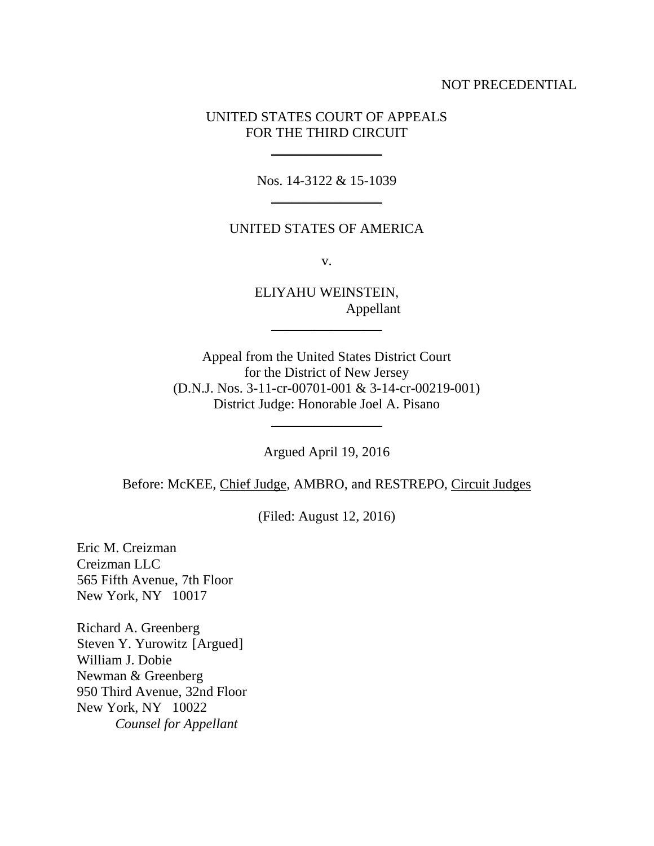## NOT PRECEDENTIAL

## UNITED STATES COURT OF APPEALS FOR THE THIRD CIRCUIT

 $\frac{1}{2}$ 

Nos. 14-3122 & 15-1039  $\overline{\phantom{a}}$ 

## UNITED STATES OF AMERICA

v.

ELIYAHU WEINSTEIN, Appellant  $\frac{1}{2}$ 

Appeal from the United States District Court for the District of New Jersey (D.N.J. Nos. 3-11-cr-00701-001 & 3-14-cr-00219-001) District Judge: Honorable Joel A. Pisano

Argued April 19, 2016

 $\frac{1}{2}$ 

Before: McKEE, Chief Judge, AMBRO, and RESTREPO, Circuit Judges

(Filed: August 12, 2016)

Eric M. Creizman Creizman LLC 565 Fifth Avenue, 7th Floor New York, NY 10017

Richard A. Greenberg Steven Y. Yurowitz [Argued] William J. Dobie Newman & Greenberg 950 Third Avenue, 32nd Floor New York, NY 10022 *Counsel for Appellant*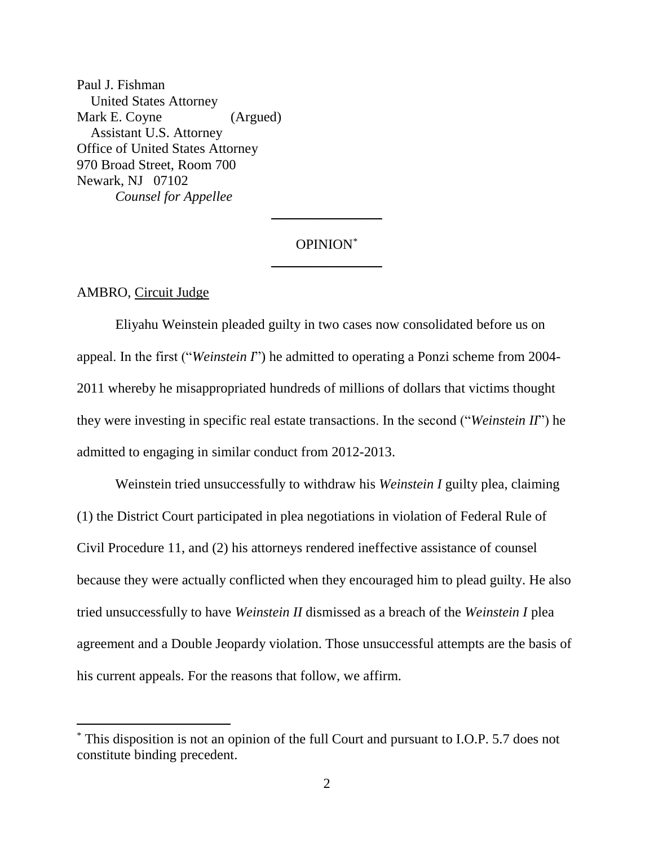Paul J. Fishman United States Attorney Mark E. Coyne (Argued) Assistant U.S. Attorney Office of United States Attorney 970 Broad Street, Room 700 Newark, NJ 07102 *Counsel for Appellee*

# OPINION\*  $\frac{1}{2}$

 $\overline{\phantom{a}}$ 

AMBRO, Circuit Judge

 $\overline{a}$ 

Eliyahu Weinstein pleaded guilty in two cases now consolidated before us on appeal. In the first ("*Weinstein I*") he admitted to operating a Ponzi scheme from 2004- 2011 whereby he misappropriated hundreds of millions of dollars that victims thought they were investing in specific real estate transactions. In the second ("*Weinstein II*") he admitted to engaging in similar conduct from 2012-2013.

Weinstein tried unsuccessfully to withdraw his *Weinstein I* guilty plea, claiming (1) the District Court participated in plea negotiations in violation of Federal Rule of Civil Procedure 11, and (2) his attorneys rendered ineffective assistance of counsel because they were actually conflicted when they encouraged him to plead guilty. He also tried unsuccessfully to have *Weinstein II* dismissed as a breach of the *Weinstein I* plea agreement and a Double Jeopardy violation. Those unsuccessful attempts are the basis of his current appeals. For the reasons that follow, we affirm.

<sup>\*</sup> This disposition is not an opinion of the full Court and pursuant to I.O.P. 5.7 does not constitute binding precedent.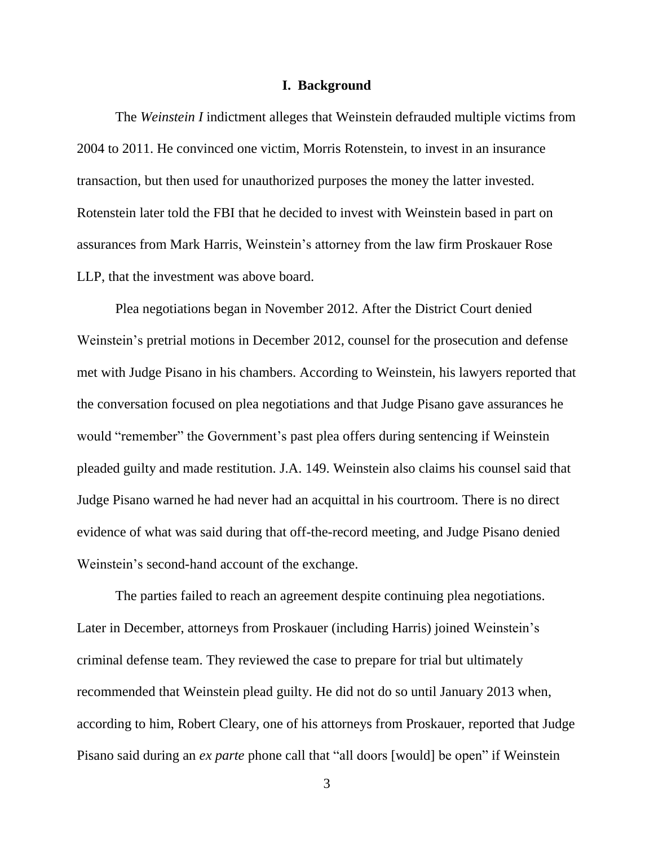#### **I. Background**

The *Weinstein I* indictment alleges that Weinstein defrauded multiple victims from 2004 to 2011. He convinced one victim, Morris Rotenstein, to invest in an insurance transaction, but then used for unauthorized purposes the money the latter invested. Rotenstein later told the FBI that he decided to invest with Weinstein based in part on assurances from Mark Harris, Weinstein's attorney from the law firm Proskauer Rose LLP, that the investment was above board.

Plea negotiations began in November 2012. After the District Court denied Weinstein's pretrial motions in December 2012, counsel for the prosecution and defense met with Judge Pisano in his chambers. According to Weinstein, his lawyers reported that the conversation focused on plea negotiations and that Judge Pisano gave assurances he would "remember" the Government's past plea offers during sentencing if Weinstein pleaded guilty and made restitution. J.A. 149. Weinstein also claims his counsel said that Judge Pisano warned he had never had an acquittal in his courtroom. There is no direct evidence of what was said during that off-the-record meeting, and Judge Pisano denied Weinstein's second-hand account of the exchange.

The parties failed to reach an agreement despite continuing plea negotiations. Later in December, attorneys from Proskauer (including Harris) joined Weinstein's criminal defense team. They reviewed the case to prepare for trial but ultimately recommended that Weinstein plead guilty. He did not do so until January 2013 when, according to him, Robert Cleary, one of his attorneys from Proskauer, reported that Judge Pisano said during an *ex parte* phone call that "all doors [would] be open" if Weinstein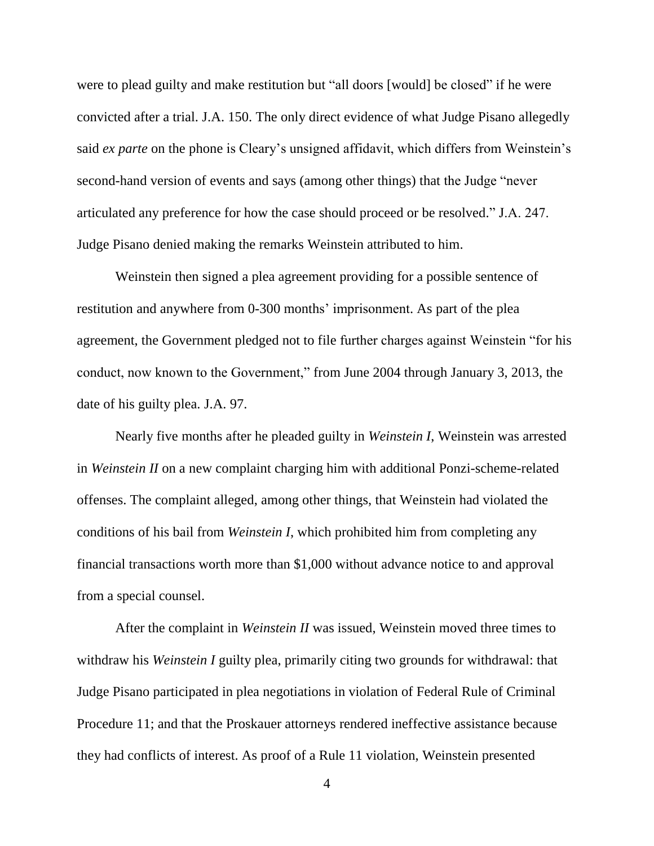were to plead guilty and make restitution but "all doors [would] be closed" if he were convicted after a trial. J.A. 150. The only direct evidence of what Judge Pisano allegedly said *ex parte* on the phone is Cleary's unsigned affidavit, which differs from Weinstein's second-hand version of events and says (among other things) that the Judge "never articulated any preference for how the case should proceed or be resolved." J.A. 247. Judge Pisano denied making the remarks Weinstein attributed to him.

Weinstein then signed a plea agreement providing for a possible sentence of restitution and anywhere from 0-300 months' imprisonment. As part of the plea agreement, the Government pledged not to file further charges against Weinstein "for his conduct, now known to the Government," from June 2004 through January 3, 2013, the date of his guilty plea. J.A. 97.

Nearly five months after he pleaded guilty in *Weinstein I*, Weinstein was arrested in *Weinstein II* on a new complaint charging him with additional Ponzi-scheme-related offenses. The complaint alleged, among other things, that Weinstein had violated the conditions of his bail from *Weinstein I*, which prohibited him from completing any financial transactions worth more than \$1,000 without advance notice to and approval from a special counsel.

After the complaint in *Weinstein II* was issued, Weinstein moved three times to withdraw his *Weinstein I* guilty plea, primarily citing two grounds for withdrawal: that Judge Pisano participated in plea negotiations in violation of Federal Rule of Criminal Procedure 11; and that the Proskauer attorneys rendered ineffective assistance because they had conflicts of interest. As proof of a Rule 11 violation, Weinstein presented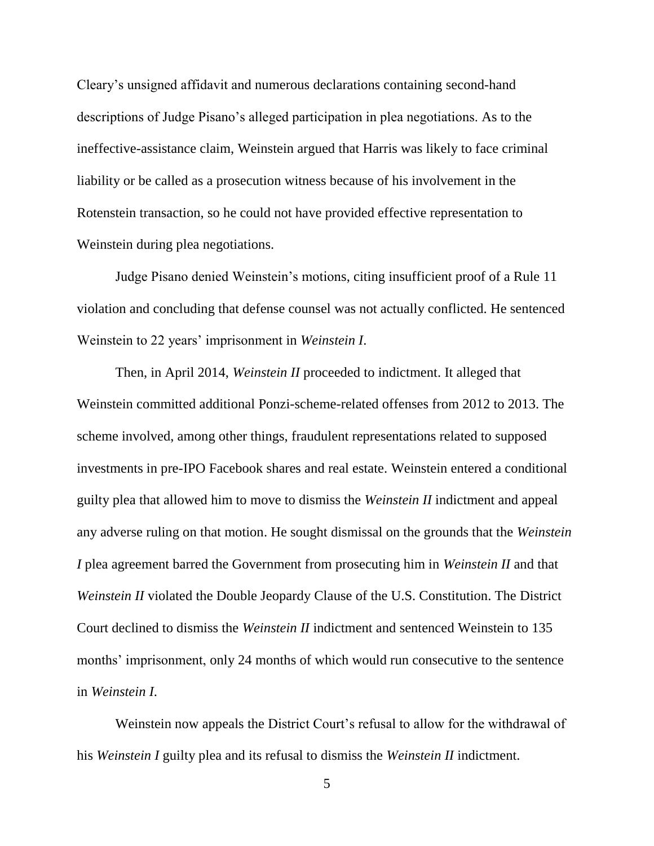Cleary's unsigned affidavit and numerous declarations containing second-hand descriptions of Judge Pisano's alleged participation in plea negotiations. As to the ineffective-assistance claim, Weinstein argued that Harris was likely to face criminal liability or be called as a prosecution witness because of his involvement in the Rotenstein transaction, so he could not have provided effective representation to Weinstein during plea negotiations.

Judge Pisano denied Weinstein's motions, citing insufficient proof of a Rule 11 violation and concluding that defense counsel was not actually conflicted. He sentenced Weinstein to 22 years' imprisonment in *Weinstein I*.

Then, in April 2014, *Weinstein II* proceeded to indictment. It alleged that Weinstein committed additional Ponzi-scheme-related offenses from 2012 to 2013. The scheme involved, among other things, fraudulent representations related to supposed investments in pre-IPO Facebook shares and real estate. Weinstein entered a conditional guilty plea that allowed him to move to dismiss the *Weinstein II* indictment and appeal any adverse ruling on that motion. He sought dismissal on the grounds that the *Weinstein I* plea agreement barred the Government from prosecuting him in *Weinstein II* and that *Weinstein II* violated the Double Jeopardy Clause of the U.S. Constitution. The District Court declined to dismiss the *Weinstein II* indictment and sentenced Weinstein to 135 months' imprisonment, only 24 months of which would run consecutive to the sentence in *Weinstein I*.

Weinstein now appeals the District Court's refusal to allow for the withdrawal of his *Weinstein I* guilty plea and its refusal to dismiss the *Weinstein II* indictment.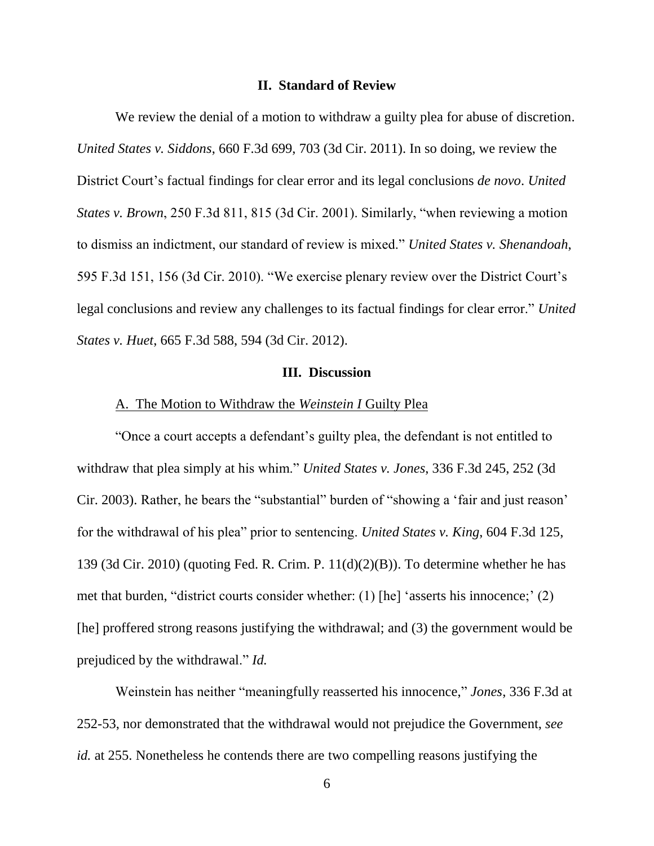#### **II. Standard of Review**

We review the denial of a motion to withdraw a guilty plea for abuse of discretion. *United States v. Siddons*, 660 F.3d 699, 703 (3d Cir. 2011). In so doing, we review the District Court's factual findings for clear error and its legal conclusions *de novo*. *United States v. Brown*, 250 F.3d 811, 815 (3d Cir. 2001). Similarly, "when reviewing a motion to dismiss an indictment, our standard of review is mixed." *United States v. Shenandoah*, 595 F.3d 151, 156 (3d Cir. 2010). "We exercise plenary review over the District Court's legal conclusions and review any challenges to its factual findings for clear error." *United States v. Huet*, 665 F.3d 588, 594 (3d Cir. 2012).

## **III. Discussion**

#### A. The Motion to Withdraw the *Weinstein I* Guilty Plea

"Once a court accepts a defendant's guilty plea, the defendant is not entitled to withdraw that plea simply at his whim." *United States v. Jones*, 336 F.3d 245, 252 (3d Cir. 2003). Rather, he bears the "substantial" burden of "showing a 'fair and just reason' for the withdrawal of his plea" prior to sentencing. *United States v. King*, 604 F.3d 125, 139 (3d Cir. 2010) (quoting Fed. R. Crim. P. 11(d)(2)(B)). To determine whether he has met that burden, "district courts consider whether: (1) [he] 'asserts his innocence;' (2) [he] proffered strong reasons justifying the withdrawal; and (3) the government would be prejudiced by the withdrawal." *Id.*

Weinstein has neither "meaningfully reasserted his innocence," *Jones*, 336 F.3d at 252-53, nor demonstrated that the withdrawal would not prejudice the Government, *see id.* at 255. Nonetheless he contends there are two compelling reasons justifying the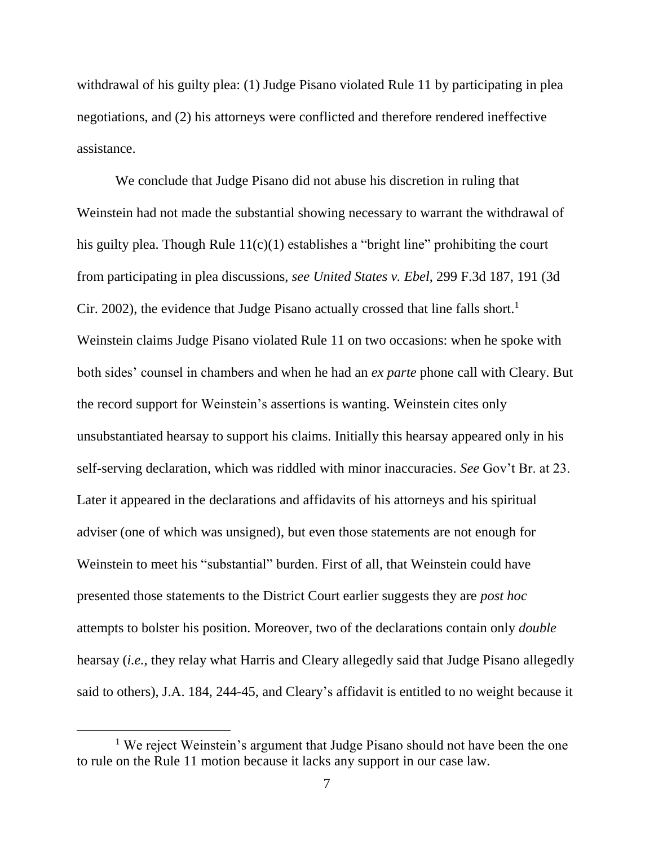withdrawal of his guilty plea: (1) Judge Pisano violated Rule 11 by participating in plea negotiations, and (2) his attorneys were conflicted and therefore rendered ineffective assistance.

We conclude that Judge Pisano did not abuse his discretion in ruling that Weinstein had not made the substantial showing necessary to warrant the withdrawal of his guilty plea. Though Rule 11(c)(1) establishes a "bright line" prohibiting the court from participating in plea discussions, *see United States v. Ebel*, 299 F.3d 187, 191 (3d Cir. 2002), the evidence that Judge Pisano actually crossed that line falls short.<sup>1</sup> Weinstein claims Judge Pisano violated Rule 11 on two occasions: when he spoke with both sides' counsel in chambers and when he had an *ex parte* phone call with Cleary. But the record support for Weinstein's assertions is wanting. Weinstein cites only unsubstantiated hearsay to support his claims. Initially this hearsay appeared only in his self-serving declaration, which was riddled with minor inaccuracies. *See* Gov't Br. at 23. Later it appeared in the declarations and affidavits of his attorneys and his spiritual adviser (one of which was unsigned), but even those statements are not enough for Weinstein to meet his "substantial" burden. First of all, that Weinstein could have presented those statements to the District Court earlier suggests they are *post hoc*  attempts to bolster his position. Moreover, two of the declarations contain only *double*  hearsay (*i.e.*, they relay what Harris and Cleary allegedly said that Judge Pisano allegedly said to others), J.A. 184, 244-45, and Cleary's affidavit is entitled to no weight because it

 $\overline{a}$ 

<sup>&</sup>lt;sup>1</sup> We reject Weinstein's argument that Judge Pisano should not have been the one to rule on the Rule 11 motion because it lacks any support in our case law.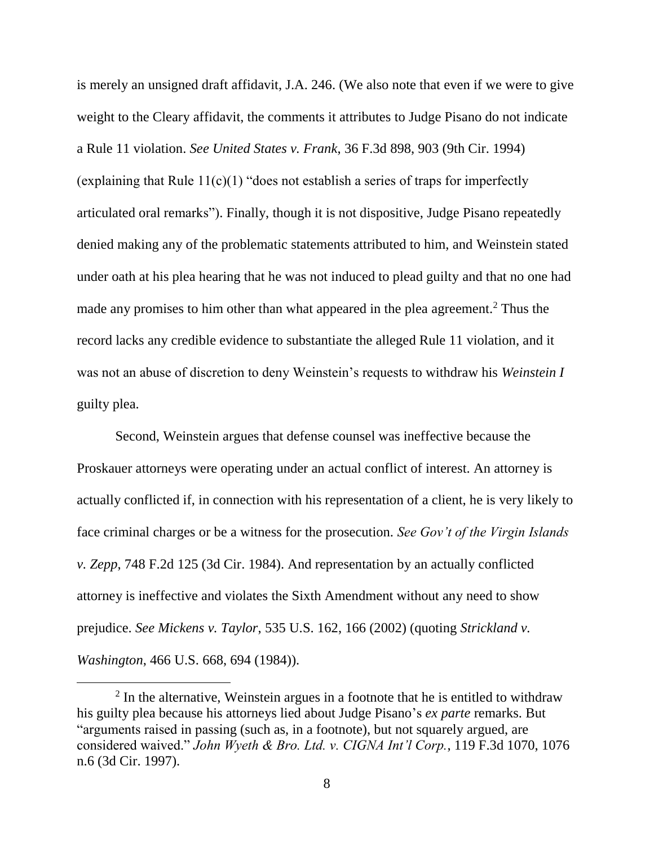is merely an unsigned draft affidavit, J.A. 246. (We also note that even if we were to give weight to the Cleary affidavit, the comments it attributes to Judge Pisano do not indicate a Rule 11 violation. *See United States v. Frank*, 36 F.3d 898, 903 (9th Cir. 1994) (explaining that Rule 11(c)(1) "does not establish a series of traps for imperfectly articulated oral remarks"). Finally, though it is not dispositive, Judge Pisano repeatedly denied making any of the problematic statements attributed to him, and Weinstein stated under oath at his plea hearing that he was not induced to plead guilty and that no one had made any promises to him other than what appeared in the plea agreement.<sup>2</sup> Thus the record lacks any credible evidence to substantiate the alleged Rule 11 violation, and it was not an abuse of discretion to deny Weinstein's requests to withdraw his *Weinstein I* guilty plea.

Second, Weinstein argues that defense counsel was ineffective because the Proskauer attorneys were operating under an actual conflict of interest. An attorney is actually conflicted if, in connection with his representation of a client, he is very likely to face criminal charges or be a witness for the prosecution. *See Gov't of the Virgin Islands v. Zepp*, 748 F.2d 125 (3d Cir. 1984). And representation by an actually conflicted attorney is ineffective and violates the Sixth Amendment without any need to show prejudice. *See Mickens v. Taylor*, 535 U.S. 162, 166 (2002) (quoting *Strickland v. Washington*, 466 U.S. 668, 694 (1984)).

<sup>&</sup>lt;sup>2</sup> In the alternative, Weinstein argues in a footnote that he is entitled to withdraw his guilty plea because his attorneys lied about Judge Pisano's *ex parte* remarks. But "arguments raised in passing (such as, in a footnote), but not squarely argued, are considered waived." *John Wyeth & Bro. Ltd. v. CIGNA Int'l Corp.*, 119 F.3d 1070, 1076 n.6 (3d Cir. 1997).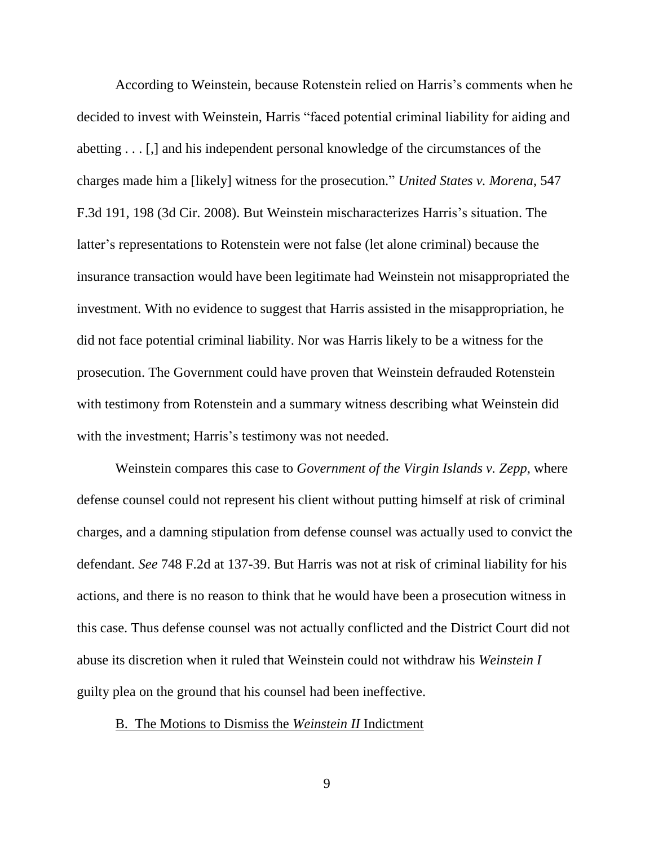According to Weinstein, because Rotenstein relied on Harris's comments when he decided to invest with Weinstein, Harris "faced potential criminal liability for aiding and abetting . . . [,] and his independent personal knowledge of the circumstances of the charges made him a [likely] witness for the prosecution." *United States v. Morena*, 547 F.3d 191, 198 (3d Cir. 2008). But Weinstein mischaracterizes Harris's situation. The latter's representations to Rotenstein were not false (let alone criminal) because the insurance transaction would have been legitimate had Weinstein not misappropriated the investment. With no evidence to suggest that Harris assisted in the misappropriation, he did not face potential criminal liability. Nor was Harris likely to be a witness for the prosecution. The Government could have proven that Weinstein defrauded Rotenstein with testimony from Rotenstein and a summary witness describing what Weinstein did with the investment; Harris's testimony was not needed.

Weinstein compares this case to *Government of the Virgin Islands v. Zepp*, where defense counsel could not represent his client without putting himself at risk of criminal charges, and a damning stipulation from defense counsel was actually used to convict the defendant. *See* 748 F.2d at 137-39. But Harris was not at risk of criminal liability for his actions, and there is no reason to think that he would have been a prosecution witness in this case. Thus defense counsel was not actually conflicted and the District Court did not abuse its discretion when it ruled that Weinstein could not withdraw his *Weinstein I*  guilty plea on the ground that his counsel had been ineffective.

## B. The Motions to Dismiss the *Weinstein II* Indictment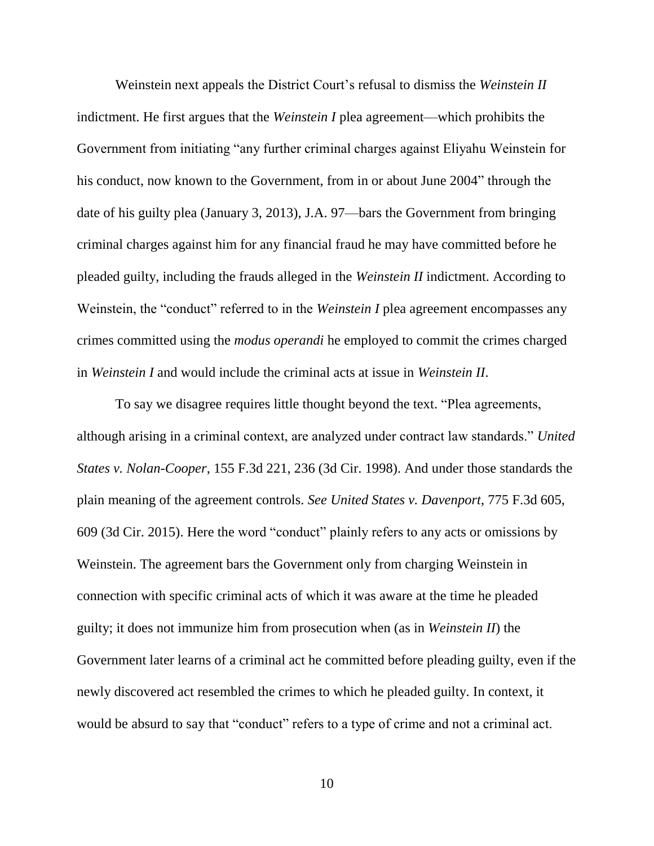Weinstein next appeals the District Court's refusal to dismiss the *Weinstein II* indictment. He first argues that the *Weinstein I* plea agreement—which prohibits the Government from initiating "any further criminal charges against Eliyahu Weinstein for his conduct, now known to the Government, from in or about June 2004" through the date of his guilty plea (January 3, 2013), J.A. 97—bars the Government from bringing criminal charges against him for any financial fraud he may have committed before he pleaded guilty, including the frauds alleged in the *Weinstein II* indictment. According to Weinstein, the "conduct" referred to in the *Weinstein I* plea agreement encompasses any crimes committed using the *modus operandi* he employed to commit the crimes charged in *Weinstein I* and would include the criminal acts at issue in *Weinstein II*.

To say we disagree requires little thought beyond the text. "Plea agreements, although arising in a criminal context, are analyzed under contract law standards." *United States v. Nolan-Cooper*, 155 F.3d 221, 236 (3d Cir. 1998). And under those standards the plain meaning of the agreement controls. *See United States v. Davenport*, 775 F.3d 605, 609 (3d Cir. 2015). Here the word "conduct" plainly refers to any acts or omissions by Weinstein. The agreement bars the Government only from charging Weinstein in connection with specific criminal acts of which it was aware at the time he pleaded guilty; it does not immunize him from prosecution when (as in *Weinstein II*) the Government later learns of a criminal act he committed before pleading guilty, even if the newly discovered act resembled the crimes to which he pleaded guilty. In context, it would be absurd to say that "conduct" refers to a type of crime and not a criminal act.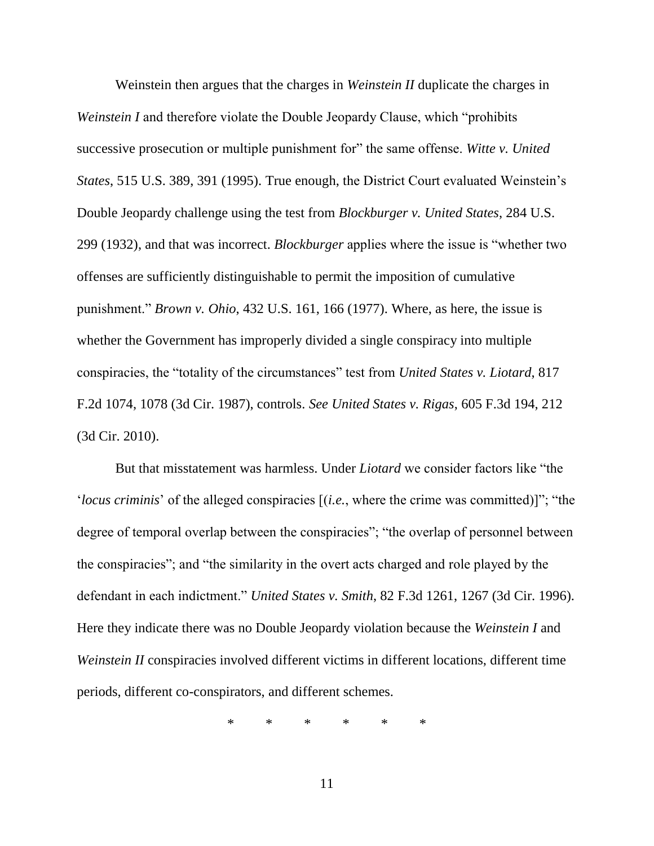Weinstein then argues that the charges in *Weinstein II* duplicate the charges in *Weinstein I* and therefore violate the Double Jeopardy Clause, which "prohibits successive prosecution or multiple punishment for" the same offense. *Witte v. United States*, 515 U.S. 389, 391 (1995). True enough, the District Court evaluated Weinstein's Double Jeopardy challenge using the test from *Blockburger v. United States*, 284 U.S. 299 (1932), and that was incorrect. *Blockburger* applies where the issue is "whether two offenses are sufficiently distinguishable to permit the imposition of cumulative punishment." *Brown v. Ohio*, 432 U.S. 161, 166 (1977). Where, as here, the issue is whether the Government has improperly divided a single conspiracy into multiple conspiracies, the "totality of the circumstances" test from *United States v. Liotard*, 817 F.2d 1074, 1078 (3d Cir. 1987), controls. *See United States v. Rigas*, 605 F.3d 194, 212 (3d Cir. 2010).

But that misstatement was harmless. Under *Liotard* we consider factors like "the '*locus criminis*' of the alleged conspiracies [(*i.e.*, where the crime was committed)]"; "the degree of temporal overlap between the conspiracies"; "the overlap of personnel between the conspiracies"; and "the similarity in the overt acts charged and role played by the defendant in each indictment." *United States v. Smith*, 82 F.3d 1261, 1267 (3d Cir. 1996). Here they indicate there was no Double Jeopardy violation because the *Weinstein I* and *Weinstein II* conspiracies involved different victims in different locations, different time periods, different co-conspirators, and different schemes.

\* \* \* \* \* \*